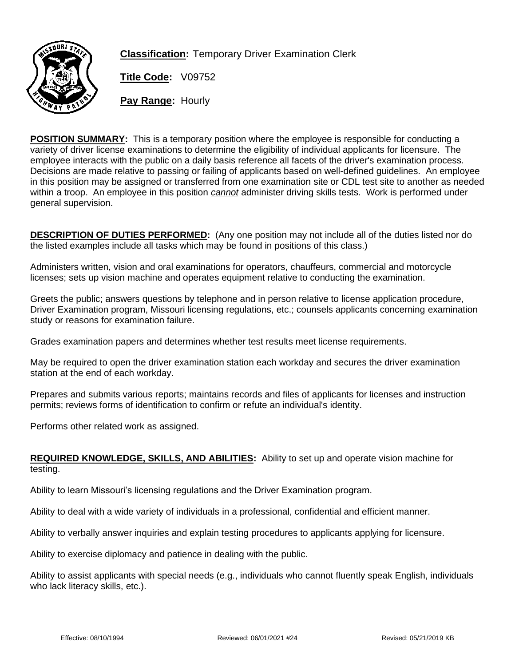

**Classification:** Temporary Driver Examination Clerk

**Title Code:** V09752

**Pay Range:** Hourly

**POSITION SUMMARY:** This is a temporary position where the employee is responsible for conducting a variety of driver license examinations to determine the eligibility of individual applicants for licensure. The employee interacts with the public on a daily basis reference all facets of the driver's examination process. Decisions are made relative to passing or failing of applicants based on well-defined guidelines. An employee in this position may be assigned or transferred from one examination site or CDL test site to another as needed within a troop. An employee in this position *cannot* administer driving skills tests. Work is performed under general supervision.

**DESCRIPTION OF DUTIES PERFORMED:** (Any one position may not include all of the duties listed nor do the listed examples include all tasks which may be found in positions of this class.)

Administers written, vision and oral examinations for operators, chauffeurs, commercial and motorcycle licenses; sets up vision machine and operates equipment relative to conducting the examination.

Greets the public; answers questions by telephone and in person relative to license application procedure, Driver Examination program, Missouri licensing regulations, etc.; counsels applicants concerning examination study or reasons for examination failure.

Grades examination papers and determines whether test results meet license requirements.

May be required to open the driver examination station each workday and secures the driver examination station at the end of each workday.

Prepares and submits various reports; maintains records and files of applicants for licenses and instruction permits; reviews forms of identification to confirm or refute an individual's identity.

Performs other related work as assigned.

## **REQUIRED KNOWLEDGE, SKILLS, AND ABILITIES:** Ability to set up and operate vision machine for testing.

Ability to learn Missouri's licensing regulations and the Driver Examination program.

Ability to deal with a wide variety of individuals in a professional, confidential and efficient manner.

Ability to verbally answer inquiries and explain testing procedures to applicants applying for licensure.

Ability to exercise diplomacy and patience in dealing with the public.

Ability to assist applicants with special needs (e.g., individuals who cannot fluently speak English, individuals who lack literacy skills, etc.).